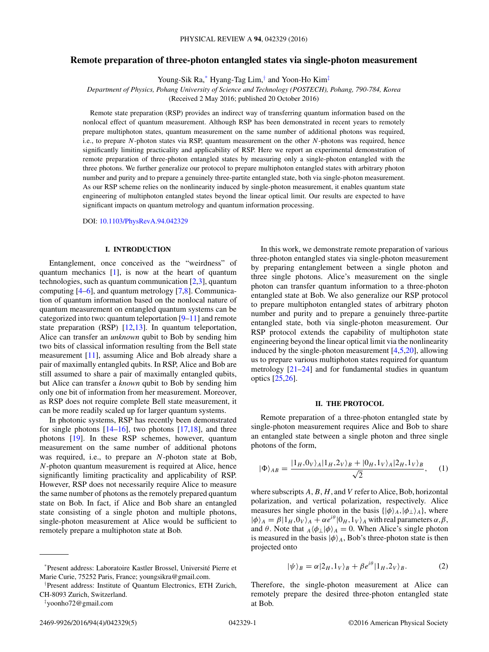# <span id="page-0-0"></span>**Remote preparation of three-photon entangled states via single-photon measurement**

Young-Sik Ra,\* Hyang-Tag Lim,† and Yoon-Ho Kim‡

*Department of Physics, Pohang University of Science and Technology (POSTECH), Pohang, 790-784, Korea* (Received 2 May 2016; published 20 October 2016)

Remote state preparation (RSP) provides an indirect way of transferring quantum information based on the nonlocal effect of quantum measurement. Although RSP has been demonstrated in recent years to remotely prepare multiphoton states, quantum measurement on the same number of additional photons was required, i.e., to prepare *N*-photon states via RSP, quantum measurement on the other *N*-photons was required, hence significantly limiting practicality and applicability of RSP. Here we report an experimental demonstration of remote preparation of three-photon entangled states by measuring only a single-photon entangled with the three photons. We further generalize our protocol to prepare multiphoton entangled states with arbitrary photon number and purity and to prepare a genuinely three-partite entangled state, both via single-photon measurement. As our RSP scheme relies on the nonlinearity induced by single-photon measurement, it enables quantum state engineering of multiphoton entangled states beyond the linear optical limit. Our results are expected to have significant impacts on quantum metrology and quantum information processing.

DOI: [10.1103/PhysRevA.94.042329](https://doi.org/10.1103/PhysRevA.94.042329)

#### **I. INTRODUCTION**

Entanglement, once conceived as the "weirdness" of quantum mechanics [\[1\]](#page-4-0), is now at the heart of quantum technologies, such as quantum communication [\[2,3\]](#page-4-0), quantum computing  $[4–6]$ , and quantum metrology  $[7,8]$ . Communication of quantum information based on the nonlocal nature of quantum measurement on entangled quantum systems can be categorized into two: quantum teleportation [\[9–11\]](#page-4-0) and remote state preparation (RSP) [\[12,13\]](#page-4-0). In quantum teleportation, Alice can transfer an *unknown* qubit to Bob by sending him two bits of classical information resulting from the Bell state measurement [\[11\]](#page-4-0), assuming Alice and Bob already share a pair of maximally entangled qubits. In RSP, Alice and Bob are still assumed to share a pair of maximally entangled qubits, but Alice can transfer a *known* qubit to Bob by sending him only one bit of information from her measurement. Moreover, as RSP does not require complete Bell state measurement, it can be more readily scaled up for larger quantum systems.

In photonic systems, RSP has recently been demonstrated for single photons  $[14–16]$ , two photons  $[17,18]$ , and three photons [\[19\]](#page-4-0). In these RSP schemes, however, quantum measurement on the same number of additional photons was required, i.e., to prepare an *N*-photon state at Bob, *N*-photon quantum measurement is required at Alice, hence significantly limiting practicality and applicability of RSP. However, RSP does not necessarily require Alice to measure the same number of photons as the remotely prepared quantum state on Bob. In fact, if Alice and Bob share an entangled state consisting of a single photon and multiple photons, single-photon measurement at Alice would be sufficient to remotely prepare a multiphoton state at Bob.

In this work, we demonstrate remote preparation of various three-photon entangled states via single-photon measurement by preparing entanglement between a single photon and three single photons. Alice's measurement on the single photon can transfer quantum information to a three-photon entangled state at Bob. We also generalize our RSP protocol to prepare multiphoton entangled states of arbitrary photon number and purity and to prepare a genuinely three-partite entangled state, both via single-photon measurement. Our RSP protocol extends the capability of multiphoton state engineering beyond the linear optical limit via the nonlinearity induced by the single-photon measurement  $[4,5,20]$ , allowing us to prepare various multiphoton states required for quantum metrology [\[21–24\]](#page-4-0) and for fundamental studies in quantum optics [\[25,26\]](#page-4-0).

#### **II. THE PROTOCOL**

Remote preparation of a three-photon entangled state by single-photon measurement requires Alice and Bob to share an entangled state between a single photon and three single photons of the form,

$$
|\Phi\rangle_{AB} = \frac{|1_H, 0_V\rangle_A |1_H, 2_V\rangle_B + |0_H, 1_V\rangle_A |2_H, 1_V\rangle_B}{\sqrt{2}}, \quad (1)
$$

where subscripts *A*,*B*, *H*, and *V* refer to Alice, Bob, horizontal polarization, and vertical polarization, respectively. Alice measures her single photon in the basis  $\{|\phi\rangle_A, |\phi_\perp\rangle_A\}$ , where  $|\phi\rangle_A = \beta |1_H, 0_V\rangle_A + \alpha e^{i\theta} |0_H, 1_V\rangle_A$  with real parameters  $\alpha, \beta$ , and  $\theta$ . Note that  $_A \langle \phi_\perp | \phi \rangle_A = 0$ . When Alice's single photon is measured in the basis  $|\phi\rangle_A$ , Bob's three-photon state is then projected onto

$$
|\psi\rangle_B = \alpha |2_H, 1_V\rangle_B + \beta e^{i\theta} |1_H, 2_V\rangle_B. \tag{2}
$$

Therefore, the single-photon measurement at Alice can remotely prepare the desired three-photon entangled state at Bob.

<sup>\*</sup>Present address: Laboratoire Kastler Brossel, Universite Pierre et ´ Marie Curie, 75252 Paris, France; youngsikra@gmail.com.

<sup>†</sup> Present address: Institute of Quantum Electronics, ETH Zurich, CH-8093 Zurich, Switzerland.

<sup>‡</sup> yoonho72@gmail.com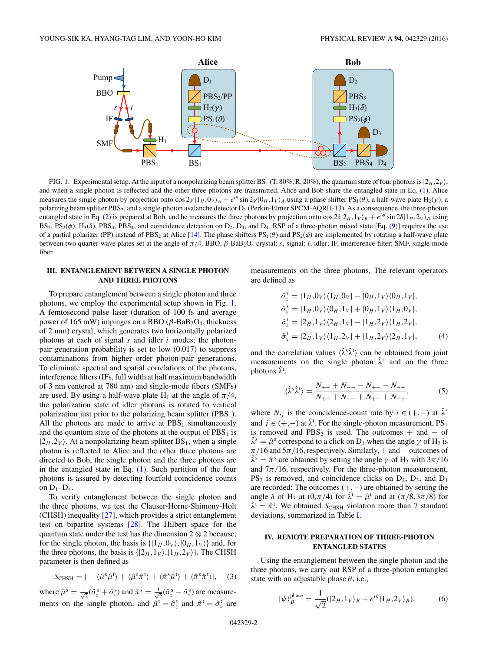<span id="page-1-0"></span>

FIG. 1. Experimental setup. At the input of a nonpolarizing beam splitter BS<sub>1</sub> (T, 80%, R, 20%), the quantum state of four photons is  $|2_H, 2_V\rangle$ , and when a single photon is reflected and the other three photons are transmitted, Alice and Bob share the entangled state in Eq. [\(1\)](#page-0-0). Alice measures the single photon by projection onto  $\cos 2\gamma |1_H, 0_V\rangle_A + e^{i\theta} \sin 2\gamma |0_H, 1_V\rangle_A$  using a phase shifter PS<sub>1</sub>( $\theta$ ), a half-wave plate H<sub>2</sub>( $\gamma$ ), a polarizing beam splitter PBS<sub>2</sub>, and a single-photon avalanche detector D<sub>1</sub> (Perkin-Elmer SPCM-AQRH-13). As a consequence, the three-photon entangled state in Eq. [\(2\)](#page-0-0) is prepared at Bob, and he measures the three photons by projection onto  $\cos 2\delta/2_H$ ,  $1_V$ <sub>b</sub> +  $e^{i\phi} \sin 2\delta/1_H$ ,  $2_V$ <sub>b</sub> using  $BS_2$ ,  $PS_2(\phi)$ ,  $H_3(\delta)$ ,  $PBS_3$ ,  $PBS_4$ , and coincidence detection on  $D_2$ ,  $D_3$ , and  $D_4$ . RSP of a three-photon mixed state [Eq. [\(9\)](#page-3-0)] requires the use of a partial polarizer (PP) instead of PBS<sub>2</sub> at Alice [\[14\]](#page-4-0). The phase shifters  $PS_1(\theta)$  and  $PS_2(\phi)$  are implemented by rotating a half-wave plate between two quarter-wave plates set at the angle of  $π/4$ . BBO,  $β$ -BaB<sub>2</sub>O<sub>4</sub> crystal; *s*, signal; *i*, idler; IF, interference filter; SMF, single-mode fiber.

## **III. ENTANGLEMENT BETWEEN A SINGLE PHOTON AND THREE PHOTONS**

To prepare entanglement between a single photon and three photons, we employ the experimental setup shown in Fig. 1. A femtosecond pulse laser (duration of 100 fs and average power of 165 mW) impinges on a BBO ( $β$ -BaB<sub>2</sub>O<sub>4</sub>, thickness of 2 mm) crystal, which generates two horizontally polarized photons at each of signal *s* and idler *i* modes; the photonpair generation probability is set to low (0.017) to suppress contaminations from higher order photon-pair generations. To eliminate spectral and spatial correlations of the photons, interference filters (IFs, full width at half maximum bandwidth of 3 nm centered at 780 nm) and single-mode fibers (SMFs) are used. By using a half-wave plate H<sub>1</sub> at the angle of  $\pi/4$ , the polarization state of idler photons is rotated to vertical polarization just prior to the polarizing beam splitter  $(PBS<sub>1</sub>)$ . All the photons are made to arrive at  $PBS<sub>1</sub>$  simultaneously and the quantum state of the photons at the output of  $PBS<sub>1</sub>$  is  $|2_H, 2_V\rangle$ . At a nonpolarizing beam splitter  $BS_1$ , when a single photon is reflected to Alice and the other three photons are directed to Bob, the single photon and the three photons are in the entangled state in Eq. [\(1\)](#page-0-0). Such partition of the four photons is assured by detecting fourfold coincidence counts on  $D_1-D_4$ .

To verify entanglement between the single photon and the three photons, we test the Clauser-Horne-Shimony-Holt (CHSH) inequality [\[27\]](#page-4-0), which provides a strict entanglement test on bipartite systems [\[28\]](#page-4-0). The Hilbert space for the quantum state under the test has the dimension  $2 \otimes 2$  because, for the single photon, the basis is  $\{|1_H, 0_V\rangle, |0_H, 1_V\rangle\}$  and, for the three photons, the basis is  $\{|2_H, 1_V\rangle, |1_H, 2_V\rangle\}$ . The CHSH parameter is then defined as

$$
S_{\text{CHSH}} = | - \langle \hat{\mu}^s \hat{\mu}^t \rangle + \langle \hat{\mu}^s \hat{\pi}^t \rangle + \langle \hat{\pi}^s \hat{\mu}^t \rangle + \langle \hat{\pi}^s \hat{\pi}^t \rangle |, \quad (3)
$$

where  $\hat{\mu}^s = \frac{1}{\sqrt{2}}$  $\frac{1}{2}(\hat{\sigma}^{\text{s}}_{z}+\hat{\sigma}^{\text{s}}_{x})$  and  $\hat{\pi}^{\text{s}}=\frac{1}{\sqrt{2}}$  $\frac{1}{2}(\hat{\sigma}_z^s - \hat{\sigma}_x^s)$  are measurements on the single photon, and  $\hat{\mu}^t = \hat{\sigma}_z^t$  and  $\hat{\pi}^t = \hat{\sigma}_x^t$  are measurements on the three photons. The relevant operators are defined as

$$
\hat{\sigma}_z^s = |1_H, 0_V\rangle\langle1_H, 0_V| - |0_H, 1_V\rangle\langle0_H, 1_V|, \n\hat{\sigma}_x^s = |1_H, 0_V\rangle\langle0_H, 1_V| + |0_H, 1_V\rangle\langle1_H, 0_V|, \n\hat{\sigma}_z^t = |2_H, 1_V\rangle\langle2_H, 1_V| - |1_H, 2_V\rangle\langle1_H, 2_V|, \n\hat{\sigma}_x^t = |2_H, 1_V\rangle\langle1_H, 2_V| + |1_H, 2_V\rangle\langle2_H, 1_V|, \tag{4}
$$

and the correlation values  $\langle \hat{\lambda}^s \hat{\lambda}^t \rangle$  can be obtained from joint measurements on the single photon  $\hat{\lambda}^s$  and on the three photons  $\hat{\lambda}^t$ ,

$$
\langle \hat{\lambda}^s \hat{\lambda}^t \rangle = \frac{N_{++} + N_{--} - N_{+-} - N_{-+}}{N_{++} + N_{--} + N_{+-} + N_{-+}},\tag{5}
$$

where  $N_{ij}$  is the coincidence-count rate by  $i \in (+,-)$  at  $\hat{\lambda}^s$ and  $j \in (+, -)$  at  $\hat{\lambda}^t$ . For the single-photon measurement, PS<sub>1</sub> is removed and PBS<sub>2</sub> is used. The outcomes + and  $-$  of  $\hat{\lambda}^s = \hat{\mu}^s$  correspond to a click on D<sub>1</sub> when the angle  $\gamma$  of H<sub>2</sub> is  $\pi/16$  and  $5\pi/16$ , respectively. Similarly,  $+$  and  $-$  outcomes of  $\hat{\lambda}^s = \hat{\pi}^s$  are obtained by setting the angle  $\gamma$  of H<sub>2</sub> with  $3\pi/16$ and  $7\pi/16$ , respectively. For the three-photon measurement,  $PS<sub>2</sub>$  is removed, and coincidence clicks on  $D<sub>2</sub>$ ,  $D<sub>3</sub>$ , and  $D<sub>4</sub>$ are recorded: The outcomes (+*,*−) are obtained by setting the angle  $\delta$  of H<sub>3</sub> at  $(0, \pi/4)$  for  $\hat{\lambda}^t = \hat{\mu}^t$  and at  $(\pi/8, 3\pi/8)$  for  $\hat{\lambda}^t = \hat{\pi}^t$ . We obtained *S*<sub>CHSH</sub> violation more than 7 standard deviations, summarized in Table [I.](#page-2-0)

## **IV. REMOTE PREPARATION OF THREE-PHOTON ENTANGLED STATES**

Using the entanglement between the single photon and the three photons, we carry out RSP of a three-photon entangled state with an adjustable phase *θ*, i.e.,

$$
|\psi\rangle_B^{\text{phase}} = \frac{1}{\sqrt{2}} (|2_H, 1_V\rangle_B + e^{i\theta} |1_H, 2_V\rangle_B),\tag{6}
$$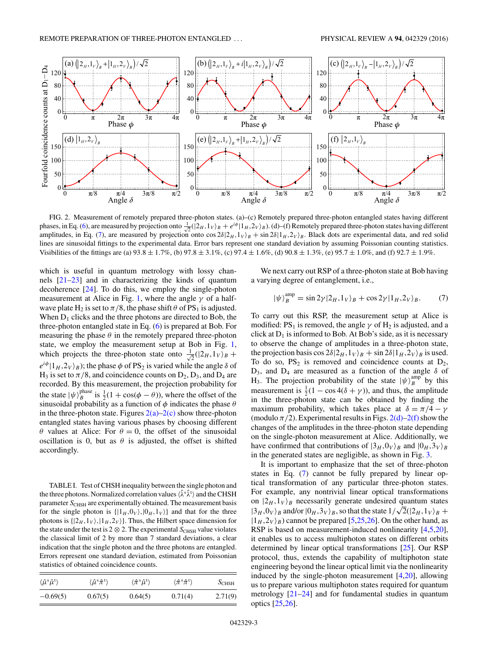<span id="page-2-0"></span>

FIG. 2. Measurement of remotely prepared three-photon states. (a)–(c) Remotely prepared three-photon entangled states having different phases, in Eq. [\(6\)](#page-1-0), are measured by projection onto  $\frac{1}{\sqrt{2}}(|2_H,1_V\rangle_B + e^{i\phi}|1_H,2_V\rangle_B)$ . (d)–(f) Remotely prepared three-photon states having different amplitudes, in Eq. (7), are measured by projection onto  $\cos 2\delta/2_H$ ,  $1_V\rangle_B + \sin 2\delta/1_H$ ,  $2_V\rangle_B$ . Black dots are experimental data, and red solid lines are sinusoidal fittings to the experimental data. Error bars represent one standard deviation by assuming Poissonian counting statistics. Visibilities of the fittings are (a)  $93.8 \pm 1.7\%$ , (b)  $97.8 \pm 3.1\%$ , (c)  $97.4 \pm 1.6\%$ , (d)  $90.8 \pm 1.3\%$ , (e)  $95.7 \pm 1.0\%$ , and (f)  $92.7 \pm 1.9\%$ .

which is useful in quantum metrology with lossy channels [\[21–23\]](#page-4-0) and in characterizing the kinds of quantum decoherence [\[24\]](#page-4-0). To do this, we employ the single-photon measurement at Alice in Fig. [1,](#page-1-0) where the angle  $\gamma$  of a halfwave plate H<sub>2</sub> is set to  $\pi/8$ , the phase shift  $\theta$  of PS<sub>1</sub> is adjusted. When  $D_1$  clicks and the three photons are directed to Bob, the three-photon entangled state in Eq. [\(6\)](#page-1-0) is prepared at Bob. For measuring the phase  $\theta$  in the remotely prepared three-photon state, we employ the measurement setup at Bob in Fig. [1,](#page-1-0) which projects the three-photon state onto  $\frac{1}{4}$  $\frac{1}{2}(|2_H,1_V\rangle_B +$  $e^{i\phi}|1_H, 2_V\rangle_B$ ; the phase  $\phi$  of PS<sub>2</sub> is varied while the angle  $\delta$  of H<sub>3</sub> is set to  $\pi/8$ , and coincidence counts on  $D_2, D_3$ , and  $D_4$  are recorded. By this measurement, the projection probability for the state  $|\psi\rangle_B^{\text{phase}}$  is  $\frac{1}{2}(1 + \cos(\phi - \theta))$ , where the offset of the sinusoidal probability as a function of *φ* indicates the phase *θ* in the three-photon state. Figures  $2(a)-2(c)$  show three-photon entangled states having various phases by choosing different *θ* values at Alice: For *θ* = 0, the offset of the sinusoidal oscillation is 0, but as  $\theta$  is adjusted, the offset is shifted accordingly.

TABLE I. Test of CHSH inequality between the single photon and the three photons. Normalized correlation values  $\langle \hat{\lambda}^s \hat{\lambda}^t \rangle$  and the CHSH parameter *S*<sub>CHSH</sub> are experimentally obtained. The measurement basis for the single photon is  $\{|1_H, 0_V\rangle, |0_H, 1_V\rangle\}$  and that for the three photons is  $\{|2_H, 1_V\rangle, |1_H, 2_V\rangle\}$ . Thus, the Hilbert space dimension for the state under the test is 2  $\otimes$  2. The experimental  $S_{\text{CHSH}}$  value violates the classical limit of 2 by more than 7 standard deviations, a clear indication that the single photon and the three photons are entangled. Errors represent one standard deviation, estimated from Poissonian statistics of obtained coincidence counts.

| $\langle \hat{\mu}^s \hat{\mu}^t \rangle$ | $\langle \hat{\mu}^s \hat{\pi}^t \rangle$ | $\langle \hat{\pi}^s \hat{\mu}^t \rangle$ | $\langle \hat{\pi}^s \hat{\pi}^t \rangle$ | $S$ CHSH |
|-------------------------------------------|-------------------------------------------|-------------------------------------------|-------------------------------------------|----------|
| $-0.69(5)$                                | 0.67(5)                                   | 0.64(5)                                   | 0.71(4)                                   | 2.71(9)  |

We next carry out RSP of a three-photon state at Bob having a varying degree of entanglement, i.e.,

$$
|\psi\rangle_B^{\text{amp}} = \sin 2\gamma |2_H, 1_V\rangle_B + \cos 2\gamma |1_H, 2_V\rangle_B. \tag{7}
$$

To carry out this RSP, the measurement setup at Alice is modified:  $PS_1$  is removed, the angle  $\gamma$  of  $H_2$  is adjusted, and a click at  $D_1$  is informed to Bob. At Bob's side, as it is necessary to observe the change of amplitudes in a three-photon state, the projection basis cos  $2\delta/2_H$ ,  $1_V\rangle_B + \sin 2\delta/2_H$ ,  $2_V\rangle_B$  is used. To do so,  $PS_2$  is removed and coincidence counts at  $D_2$ ,  $D_3$ , and  $D_4$  are measured as a function of the angle  $\delta$  of H<sub>3</sub>. The projection probability of the state  $|\psi\rangle_B^{\text{amp}}$  by this measurement is  $\frac{1}{2}(1 - \cos 4(\delta + \gamma))$ , and thus, the amplitude in the three-photon state can be obtained by finding the maximum probability, which takes place at  $\delta = \pi/4 - \gamma$ (modulo  $\pi/2$ ). Experimental results in Figs.  $2(d)-2(f)$  show the changes of the amplitudes in the three-photon state depending on the single-photon measurement at Alice. Additionally, we have confirmed that contributions of  $|3_H, 0_V\rangle_B$  and  $|0_H, 3_V\rangle_B$ in the generated states are negligible, as shown in Fig. [3.](#page-3-0)

It is important to emphasize that the set of three-photon states in Eq. (7) cannot be fully prepared by linear optical transformation of any particular three-photon states. For example, any nontrivial linear optical transformations on  $|2_H, 1_V\rangle_B$  necessarily generate undesired quantum states  $|3_H, 0_V\rangle_B$  and/or  $|0_H, 3_V\rangle_B$ , so that the state  $1/\sqrt{2}(|2_H, 1_V\rangle_B +$  $|1_H, 2_V\rangle_B$ ) cannot be prepared [\[5,25,26\]](#page-4-0). On the other hand, as RSP is based on measurement-induced nonlinearity [\[4,5,20\]](#page-4-0), it enables us to access multiphoton states on different orbits determined by linear optical transformations [\[25\]](#page-4-0). Our RSP protocol, thus, extends the capability of multiphoton state engineering beyond the linear optical limit via the nonlinearity induced by the single-photon measurement [\[4,20\]](#page-4-0), allowing us to prepare various multiphoton states required for quantum metrology [\[21–24\]](#page-4-0) and for fundamental studies in quantum optics [\[25,26\]](#page-4-0).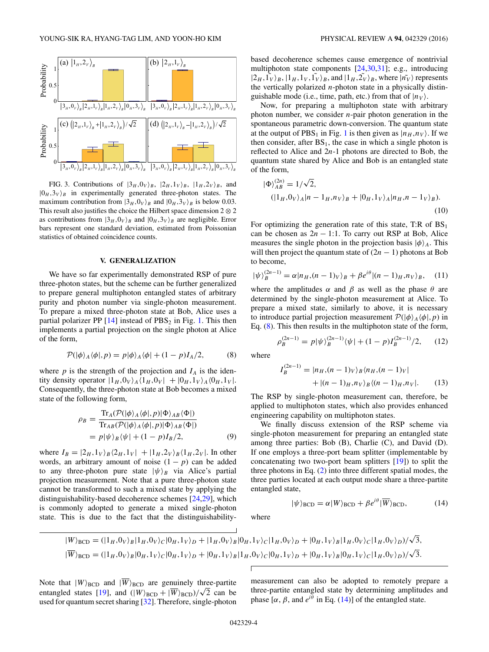<span id="page-3-0"></span>

FIG. 3. Contributions of  $|3_H, 0_V\rangle_B$ ,  $|2_H, 1_V\rangle_B$ ,  $|1_H, 2_V\rangle_B$ , and  $|0_H,3_V\rangle_B$  in experimentally generated three-photon states. The maximum contribution from  $|3_H, 0_V\rangle_B$  and  $|0_H, 3_V\rangle_B$  is below 0.03. This result also justifies the choice the Hilbert space dimension  $2 \otimes 2$ as contributions from  $|3_H, 0_V\rangle_B$  and  $|0_H, 3_V\rangle_B$  are negligible. Error bars represent one standard deviation, estimated from Poissonian statistics of obtained coincidence counts.

#### **V. GENERALIZATION**

We have so far experimentally demonstrated RSP of pure three-photon states, but the scheme can be further generalized to prepare general multiphoton entangled states of arbitrary purity and photon number via single-photon measurement. To prepare a mixed three-photon state at Bob, Alice uses a partial polarizer PP  $[14]$  instead of PBS<sub>2</sub> in Fig. [1.](#page-1-0) This then implements a partial projection on the single photon at Alice of the form,

$$
\mathcal{P}(|\phi\rangle_A \langle \phi|, p) = p|\phi\rangle_A \langle \phi| + (1 - p)I_A/2,\tag{8}
$$

where  $p$  is the strength of the projection and  $I_A$  is the identity density operator  $|1_H, 0_V\rangle_A \langle 1_H, 0_V| + |0_H, 1_V\rangle_A \langle 0_H, 1_V|$ . Consequently, the three-photon state at Bob becomes a mixed state of the following form,

$$
\rho_B = \frac{\text{Tr}_A(\mathcal{P}(|\phi\rangle_A \langle \phi|, p)|\Phi\rangle_{AB} \langle \Phi|)}{\text{Tr}_{AB}(\mathcal{P}(|\phi\rangle_A \langle \phi|, p)|\Phi\rangle_{AB} \langle \Phi|)}
$$
  
=  $p|\psi\rangle_B \langle \psi| + (1 - p)I_B/2,$  (9)

where  $I_B = |2_H, 1_V\rangle_B \langle 2_H, 1_V| + |1_H, 2_V\rangle_B \langle 1_H, 2_V|$ . In other words, an arbitrary amount of noise  $(1 - p)$  can be added to any three-photon pure state  $|\psi\rangle_B$  via Alice's partial projection measurement. Note that a pure three-photon state cannot be transformed to such a mixed state by applying the distinguishability-based decoherence schemes [\[24,29\]](#page-4-0), which is commonly adopted to generate a mixed single-photon state. This is due to the fact that the distinguishabilitybased decoherence schemes cause emergence of nontrivial multiphoton state components [\[24,30,31\]](#page-4-0); e.g., introducing  $|2_H, \tilde{1_V}\rangle_B, |1_H, 1_V, \tilde{1_V}\rangle_B$ , and  $|1_H, 2_V\rangle_B$ , where  $|n_V\rangle$  represents the vertically polarized *n*-photon state in a physically distinguishable mode (i.e., time, path, etc.) from that of  $|n_V\rangle$ .

Now, for preparing a multiphoton state with arbitrary photon number, we consider *n*-pair photon generation in the spontaneous parametric down-conversion. The quantum state at the output of PBS<sub>[1](#page-1-0)</sub> in Fig. 1 is then given as  $|n_H, n_V\rangle$ . If we then consider, after  $BS_1$ , the case in which a single photon is reflected to Alice and 2*n*-1 photons are directed to Bob, the quantum state shared by Alice and Bob is an entangled state of the form,

$$
|\Phi\rangle_{AB}^{(2n)} = 1/\sqrt{2},
$$
  
\n
$$
(|1_H, 0_V\rangle_A |n - 1_H, n_V\rangle_B + |0_H, 1_V\rangle_A |n_H, n - 1_V\rangle_B).
$$
  
\n(10)

For optimizing the generation rate of this state, T:R of  $BS<sub>1</sub>$ can be chosen as  $2n - 1:1$ . To carry out RSP at Bob, Alice measures the single photon in the projection basis  $|\phi\rangle_A$ . This will then project the quantum state of  $(2n - 1)$  photons at Bob to become,

$$
|\psi\rangle_B^{(2n-1)} = \alpha |n_H, (n-1)_V\rangle_B + \beta e^{i\theta} |(n-1)_H, n_V\rangle_B, \quad (11)
$$

where the amplitudes  $\alpha$  and  $\beta$  as well as the phase  $\theta$  are determined by the single-photon measurement at Alice. To prepare a mixed state, similarly to above, it is necessary to introduce partial projection measurement  $\mathcal{P}(|\phi\rangle_A \langle \phi|, p)$  in Eq. (8). This then results in the multiphoton state of the form,

$$
\rho_B^{(2n-1)} = p|\psi\rangle_B^{(2n-1)}\langle\psi| + (1-p)I_B^{(2n-1)}/2,\qquad(12)
$$

where

$$
I_B^{(2n-1)} = |n_H, (n-1)_V\rangle_B \langle n_H, (n-1)_V|
$$
  
 
$$
+ |(n-1)_H, n_V\rangle_B \langle (n-1)_H, n_V|.
$$
 (13)

The RSP by single-photon measurement can, therefore, be applied to multiphoton states, which also provides enhanced engineering capability on multiphoton states.

We finally discuss extension of the RSP scheme via single-photon measurement for preparing an entangled state among three parties: Bob (B), Charlie (C), and David (D). If one employs a three-port beam splitter (implementable by concatenating two two-port beam splitters [\[19\]](#page-4-0)) to split the three photons in Eq. [\(2\)](#page-0-0) into three different spatial modes, the three parties located at each output mode share a three-partite entangled state,

 $|\psi\rangle_{\text{BCD}} = \alpha |W\rangle_{\text{BCD}} + \beta e^{i\theta} |\overline{W}\rangle_{\text{BCD}},$  (14)

$$
|W\rangle_{\text{BCD}} = (|1_H, 0_V\rangle_B |1_H, 0_V\rangle_C |0_H, 1_V\rangle_D + |1_H, 0_V\rangle_B |0_H, 1_V\rangle_C |1_H, 0_V\rangle_D + |0_H, 1_V\rangle_B |1_H, 0_V\rangle_C |1_H, 0_V\rangle_D)/\sqrt{3},
$$
  

$$
|\overline{W}\rangle_{\text{BCD}} = (|1_H, 0_V\rangle_B |0_H, 1_V\rangle_C |0_H, 1_V\rangle_D + |0_H, 1_V\rangle_B |1_H, 0_V\rangle_C |0_H, 1_V\rangle_D + |0_H, 1_V\rangle_B |0_H, 1_V\rangle_C |1_H, 0_V\rangle_D)/\sqrt{3}.
$$

 $\overline{1}$ 

where

Note that  $|W\rangle_{\text{BCD}}$  and  $|W\rangle_{\text{BCD}}$  are genuinely three-partite Note that  $|W\rangle_{\text{BCD}}$  and  $|W\rangle_{\text{BCD}}$  are genuinely three-partite<br>entangled states [\[19\]](#page-4-0), and  $(|W\rangle_{\text{BCD}} + |\overline{W}\rangle_{\text{BCD}})/\sqrt{2}$  can be used for quantum secret sharing [\[32\]](#page-4-0). Therefore, single-photon measurement can also be adopted to remotely prepare a three-partite entangled state by determining amplitudes and phase  $[\alpha, \beta, \text{ and } e^{i\theta} \text{ in Eq. (14)}]$  of the entangled state.